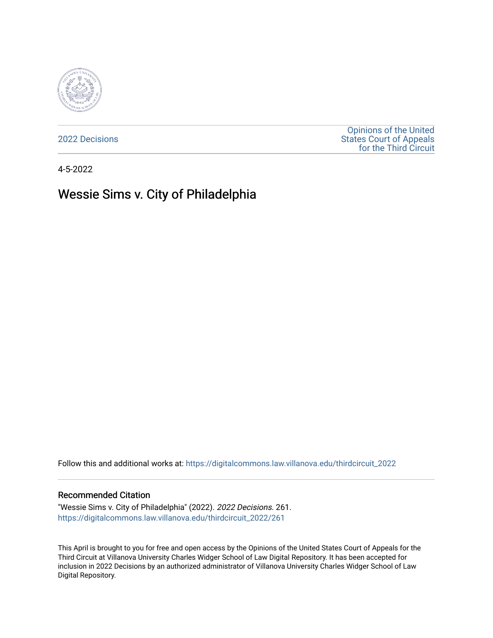

[2022 Decisions](https://digitalcommons.law.villanova.edu/thirdcircuit_2022)

[Opinions of the United](https://digitalcommons.law.villanova.edu/thirdcircuit)  [States Court of Appeals](https://digitalcommons.law.villanova.edu/thirdcircuit)  [for the Third Circuit](https://digitalcommons.law.villanova.edu/thirdcircuit) 

4-5-2022

# Wessie Sims v. City of Philadelphia

Follow this and additional works at: [https://digitalcommons.law.villanova.edu/thirdcircuit\\_2022](https://digitalcommons.law.villanova.edu/thirdcircuit_2022?utm_source=digitalcommons.law.villanova.edu%2Fthirdcircuit_2022%2F261&utm_medium=PDF&utm_campaign=PDFCoverPages) 

#### Recommended Citation

"Wessie Sims v. City of Philadelphia" (2022). 2022 Decisions. 261. [https://digitalcommons.law.villanova.edu/thirdcircuit\\_2022/261](https://digitalcommons.law.villanova.edu/thirdcircuit_2022/261?utm_source=digitalcommons.law.villanova.edu%2Fthirdcircuit_2022%2F261&utm_medium=PDF&utm_campaign=PDFCoverPages)

This April is brought to you for free and open access by the Opinions of the United States Court of Appeals for the Third Circuit at Villanova University Charles Widger School of Law Digital Repository. It has been accepted for inclusion in 2022 Decisions by an authorized administrator of Villanova University Charles Widger School of Law Digital Repository.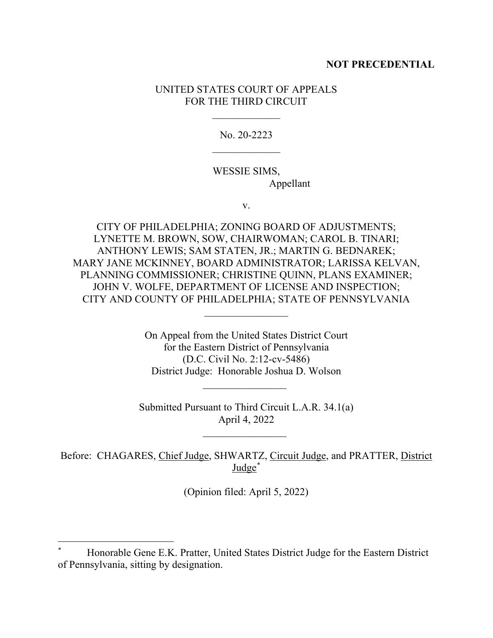# **NOT PRECEDENTIAL**

# UNITED STATES COURT OF APPEALS FOR THE THIRD CIRCUIT

 $\frac{1}{2}$ 

No. 20-2223  $\frac{1}{2}$ 

# WESSIE SIMS, Appellant

v.

CITY OF PHILADELPHIA; ZONING BOARD OF ADJUSTMENTS; LYNETTE M. BROWN, SOW, CHAIRWOMAN; CAROL B. TINARI; ANTHONY LEWIS; SAM STATEN, JR.; MARTIN G. BEDNAREK; MARY JANE MCKINNEY, BOARD ADMINISTRATOR; LARISSA KELVAN, PLANNING COMMISSIONER; CHRISTINE QUINN, PLANS EXAMINER; JOHN V. WOLFE, DEPARTMENT OF LICENSE AND INSPECTION; CITY AND COUNTY OF PHILADELPHIA; STATE OF PENNSYLVANIA

> On Appeal from the United States District Court for the Eastern District of Pennsylvania (D.C. Civil No. 2:12-cv-5486) District Judge: Honorable Joshua D. Wolson

 $\frac{1}{2}$  ,  $\frac{1}{2}$  ,  $\frac{1}{2}$  ,  $\frac{1}{2}$  ,  $\frac{1}{2}$  ,  $\frac{1}{2}$  ,  $\frac{1}{2}$  ,  $\frac{1}{2}$  ,  $\frac{1}{2}$  ,  $\frac{1}{2}$ 

Submitted Pursuant to Third Circuit L.A.R. 34.1(a) April 4, 2022

 $\overline{\phantom{a}}$  , where  $\overline{\phantom{a}}$ 

 $\frac{1}{2}$ 

Before: CHAGARES, Chief Judge, SHWARTZ, Circuit Judge, and PRATTER, District Judge\*

(Opinion filed: April 5, 2022)

<sup>\*</sup> Honorable Gene E.K. Pratter, United States District Judge for the Eastern District of Pennsylvania, sitting by designation.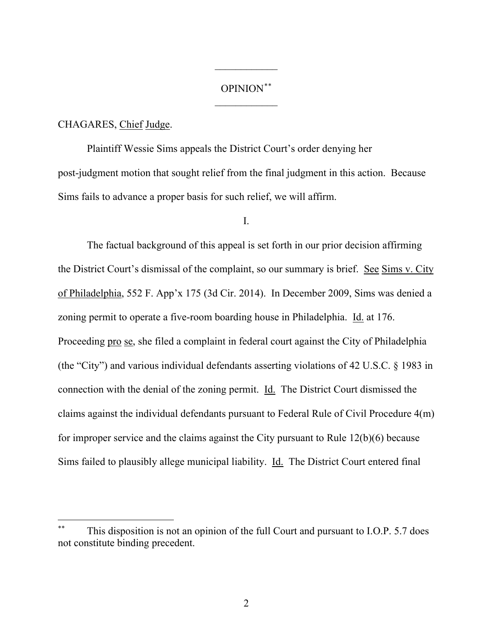# OPINION\*\*  $\frac{1}{2}$

 $\overline{\phantom{a}}$ 

### CHAGARES, Chief Judge.

Plaintiff Wessie Sims appeals the District Court's order denying her post-judgment motion that sought relief from the final judgment in this action. Because Sims fails to advance a proper basis for such relief, we will affirm.

#### I.

The factual background of this appeal is set forth in our prior decision affirming the District Court's dismissal of the complaint, so our summary is brief. See Sims v. City of Philadelphia, 552 F. App'x 175 (3d Cir. 2014). In December 2009, Sims was denied a zoning permit to operate a five-room boarding house in Philadelphia. Id. at 176. Proceeding pro se, she filed a complaint in federal court against the City of Philadelphia (the "City") and various individual defendants asserting violations of 42 U.S.C. § 1983 in connection with the denial of the zoning permit. Id. The District Court dismissed the claims against the individual defendants pursuant to Federal Rule of Civil Procedure 4(m) for improper service and the claims against the City pursuant to Rule 12(b)(6) because Sims failed to plausibly allege municipal liability. Id. The District Court entered final

This disposition is not an opinion of the full Court and pursuant to I.O.P. 5.7 does not constitute binding precedent.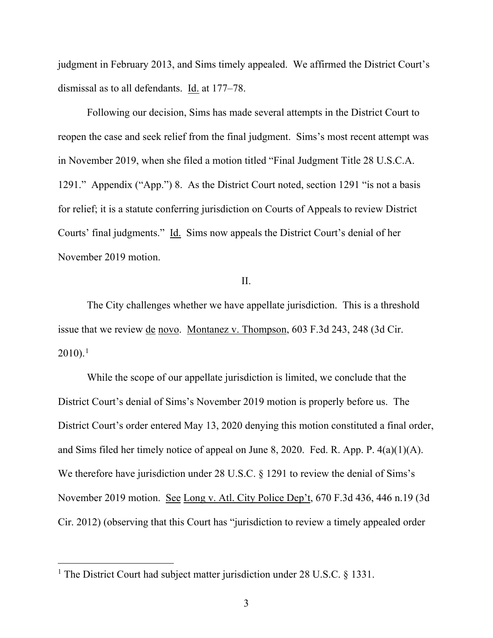judgment in February 2013, and Sims timely appealed. We affirmed the District Court's dismissal as to all defendants. Id. at 177–78.

Following our decision, Sims has made several attempts in the District Court to reopen the case and seek relief from the final judgment. Sims's most recent attempt was in November 2019, when she filed a motion titled "Final Judgment Title 28 U.S.C.A. 1291." Appendix ("App.") 8. As the District Court noted, section 1291 "is not a basis for relief; it is a statute conferring jurisdiction on Courts of Appeals to review District Courts' final judgments." Id. Sims now appeals the District Court's denial of her November 2019 motion.

## II.

The City challenges whether we have appellate jurisdiction. This is a threshold issue that we review de novo. Montanez v. Thompson, 603 F.3d 243, 248 (3d Cir.  $2010$ ).<sup>1</sup>

While the scope of our appellate jurisdiction is limited, we conclude that the District Court's denial of Sims's November 2019 motion is properly before us. The District Court's order entered May 13, 2020 denying this motion constituted a final order, and Sims filed her timely notice of appeal on June 8, 2020. Fed. R. App. P. 4(a)(1)(A). We therefore have jurisdiction under 28 U.S.C. § 1291 to review the denial of Sims's November 2019 motion. See Long v. Atl. City Police Dep't, 670 F.3d 436, 446 n.19 (3d Cir. 2012) (observing that this Court has "jurisdiction to review a timely appealed order

<sup>&</sup>lt;sup>1</sup> The District Court had subject matter jurisdiction under 28 U.S.C. § 1331.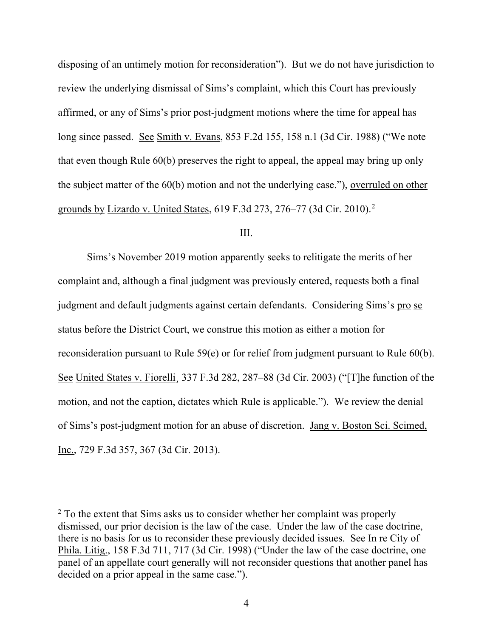disposing of an untimely motion for reconsideration"). But we do not have jurisdiction to review the underlying dismissal of Sims's complaint, which this Court has previously affirmed, or any of Sims's prior post-judgment motions where the time for appeal has long since passed. See Smith v. Evans, 853 F.2d 155, 158 n.1 (3d Cir. 1988) ("We note that even though Rule 60(b) preserves the right to appeal, the appeal may bring up only the subject matter of the 60(b) motion and not the underlying case."), overruled on other grounds by Lizardo v. United States, 619 F.3d 273, 276–77 (3d Cir. 2010). 2

#### III.

Sims's November 2019 motion apparently seeks to relitigate the merits of her complaint and, although a final judgment was previously entered, requests both a final judgment and default judgments against certain defendants. Considering Sims's pro se status before the District Court, we construe this motion as either a motion for reconsideration pursuant to Rule 59(e) or for relief from judgment pursuant to Rule 60(b). See United States v. Fiorelli¸ 337 F.3d 282, 287–88 (3d Cir. 2003) ("[T]he function of the motion, and not the caption, dictates which Rule is applicable."). We review the denial of Sims's post-judgment motion for an abuse of discretion. Jang v. Boston Sci. Scimed, Inc., 729 F.3d 357, 367 (3d Cir. 2013).

<sup>&</sup>lt;sup>2</sup> To the extent that Sims asks us to consider whether her complaint was properly dismissed, our prior decision is the law of the case. Under the law of the case doctrine, there is no basis for us to reconsider these previously decided issues. See In re City of Phila. Litig., 158 F.3d 711, 717 (3d Cir. 1998) ("Under the law of the case doctrine, one panel of an appellate court generally will not reconsider questions that another panel has decided on a prior appeal in the same case.").